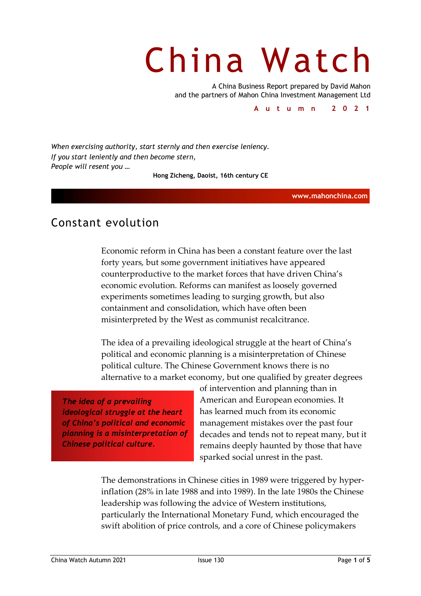# China Watch

A China Business Report prepared by David Mahon and the partners of Mahon China Investment Management Ltd

**Autumn 2021**

*When exercising authority, start sternly and then exercise leniency. If you start leniently and then become stern, People will resent you …*

**Hong Zicheng, Daoist, 16th century CE**

**www.mahonchina.com**

## Constant evolution

Economic reform in China has been a constant feature over the last forty years, but some government initiatives have appeared counterproductive to the market forces that have driven China's economic evolution. Reforms can manifest as loosely governed experiments sometimes leading to surging growth, but also containment and consolidation, which have often been misinterpreted by the West as communist recalcitrance.

The idea of a prevailing ideological struggle at the heart of China's political and economic planning is a misinterpretation of Chinese political culture. The Chinese Government knows there is no alternative to a market economy, but one qualified by greater degrees

*The idea of a prevailing ideological struggle at the heart of China's political and economic planning is a misinterpretation of Chinese political culture.*

of intervention and planning than in American and European economies. It has learned much from its economic management mistakes over the past four decades and tends not to repeat many, but it remains deeply haunted by those that have sparked social unrest in the past.

The demonstrations in Chinese cities in 1989 were triggered by hyperinflation (28% in late 1988 and into 1989). In the late 1980s the Chinese leadership was following the advice of Western institutions, particularly the International Monetary Fund, which encouraged the swift abolition of price controls, and a core of Chinese policymakers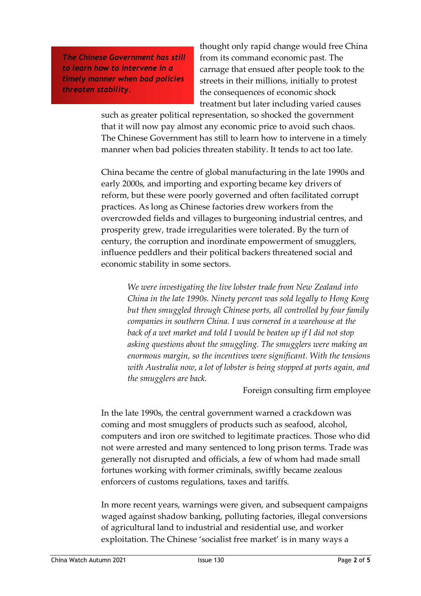*The Chinese Government has still to learn how to intervene in a timely manner when bad policies threaten stability.*

thought only rapid change would free China from its command economic past. The carnage that ensued after people took to the streets in their millions, initially to protest the consequences of economic shock treatment but later including varied causes

such as greater political representation, so shocked the government that it will now pay almost any economic price to avoid such chaos. The Chinese Government has still to learn how to intervene in a timely manner when bad policies threaten stability. It tends to act too late.

China became the centre of global manufacturing in the late 1990s and early 2000s, and importing and exporting became key drivers of reform, but these were poorly governed and often facilitated corrupt practices. As long as Chinese factories drew workers from the overcrowded fields and villages to burgeoning industrial centres, and prosperity grew, trade irregularities were tolerated. By the turn of century, the corruption and inordinate empowerment of smugglers, influence peddlers and their political backers threatened social and economic stability in some sectors.

> *We were investigating the live lobster trade from New Zealand into China in the late 1990s. Ninety percent was sold legally to Hong Kong but then smuggled through Chinese ports, all controlled by four family companies in southern China. I was cornered in a warehouse at the back of a wet market and told I would be beaten up if I did not stop asking questions about the smuggling. The smugglers were making an enormous margin, so the incentives were significant. With the tensions with Australia now, a lot of lobster is being stopped at ports again, and the smugglers are back.*

> > Foreign consulting firm employee

In the late 1990s, the central government warned a crackdown was coming and most smugglers of products such as seafood, alcohol, computers and iron ore switched to legitimate practices. Those who did not were arrested and many sentenced to long prison terms. Trade was generally not disrupted and officials, a few of whom had made small fortunes working with former criminals, swiftly became zealous enforcers of customs regulations, taxes and tariffs.

In more recent years, warnings were given, and subsequent campaigns waged against shadow banking, polluting factories, illegal conversions of agricultural land to industrial and residential use, and worker exploitation. The Chinese 'socialist free market' is in many ways a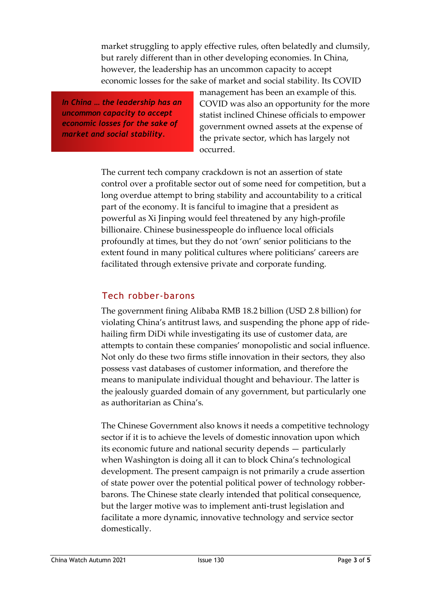market struggling to apply effective rules, often belatedly and clumsily, but rarely different than in other developing economies. In China, however, the leadership has an uncommon capacity to accept economic losses for the sake of market and social stability. Its COVID

*In China … the leadership has an uncommon capacity to accept economic losses for the sake of market and social stability.*

management has been an example of this. COVID was also an opportunity for the more statist inclined Chinese officials to empower government owned assets at the expense of the private sector, which has largely not occurred.

The current tech company crackdown is not an assertion of state control over a profitable sector out of some need for competition, but a long overdue attempt to bring stability and accountability to a critical part of the economy. It is fanciful to imagine that a president as powerful as Xi Jinping would feel threatened by any high-profile billionaire. Chinese businesspeople do influence local officials profoundly at times, but they do not 'own' senior politicians to the extent found in many political cultures where politicians' careers are facilitated through extensive private and corporate funding.

#### Tech robber-barons

The government fining Alibaba RMB 18.2 billion (USD 2.8 billion) for violating China's antitrust laws, and suspending the phone app of ridehailing firm DiDi while investigating its use of customer data, are attempts to contain these companies' monopolistic and social influence. Not only do these two firms stifle innovation in their sectors, they also possess vast databases of customer information, and therefore the means to manipulate individual thought and behaviour. The latter is the jealously guarded domain of any government, but particularly one as authoritarian as China's.

The Chinese Government also knows it needs a competitive technology sector if it is to achieve the levels of domestic innovation upon which its economic future and national security depends — particularly when Washington is doing all it can to block China's technological development. The present campaign is not primarily a crude assertion of state power over the potential political power of technology robberbarons. The Chinese state clearly intended that political consequence, but the larger motive was to implement anti-trust legislation and facilitate a more dynamic, innovative technology and service sector domestically.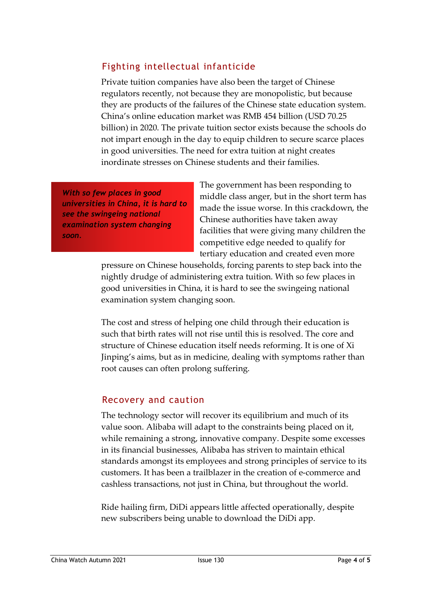### Fighting intellectual infanticide

Private tuition companies have also been the target of Chinese regulators recently, not because they are monopolistic, but because they are products of the failures of the Chinese state education system. China's online education market was RMB 454 billion (USD 70.25 billion) in 2020. The private tuition sector exists because the schools do not impart enough in the day to equip children to secure scarce places in good universities. The need for extra tuition at night creates inordinate stresses on Chinese students and their families.

*With so few places in good universities in China, it is hard to see the swingeing national examination system changing soon.*

The government has been responding to middle class anger, but in the short term has made the issue worse. In this crackdown, the Chinese authorities have taken away facilities that were giving many children the competitive edge needed to qualify for tertiary education and created even more

pressure on Chinese households, forcing parents to step back into the nightly drudge of administering extra tuition. With so few places in good universities in China, it is hard to see the swingeing national examination system changing soon.

The cost and stress of helping one child through their education is such that birth rates will not rise until this is resolved. The core and structure of Chinese education itself needs reforming. It is one of Xi Jinping's aims, but as in medicine, dealing with symptoms rather than root causes can often prolong suffering.

#### Recovery and caution

The technology sector will recover its equilibrium and much of its value soon. Alibaba will adapt to the constraints being placed on it, while remaining a strong, innovative company. Despite some excesses in its financial businesses, Alibaba has striven to maintain ethical standards amongst its employees and strong principles of service to its customers. It has been a trailblazer in the creation of e-commerce and cashless transactions, not just in China, but throughout the world.

Ride hailing firm, DiDi appears little affected operationally, despite new subscribers being unable to download the DiDi app.